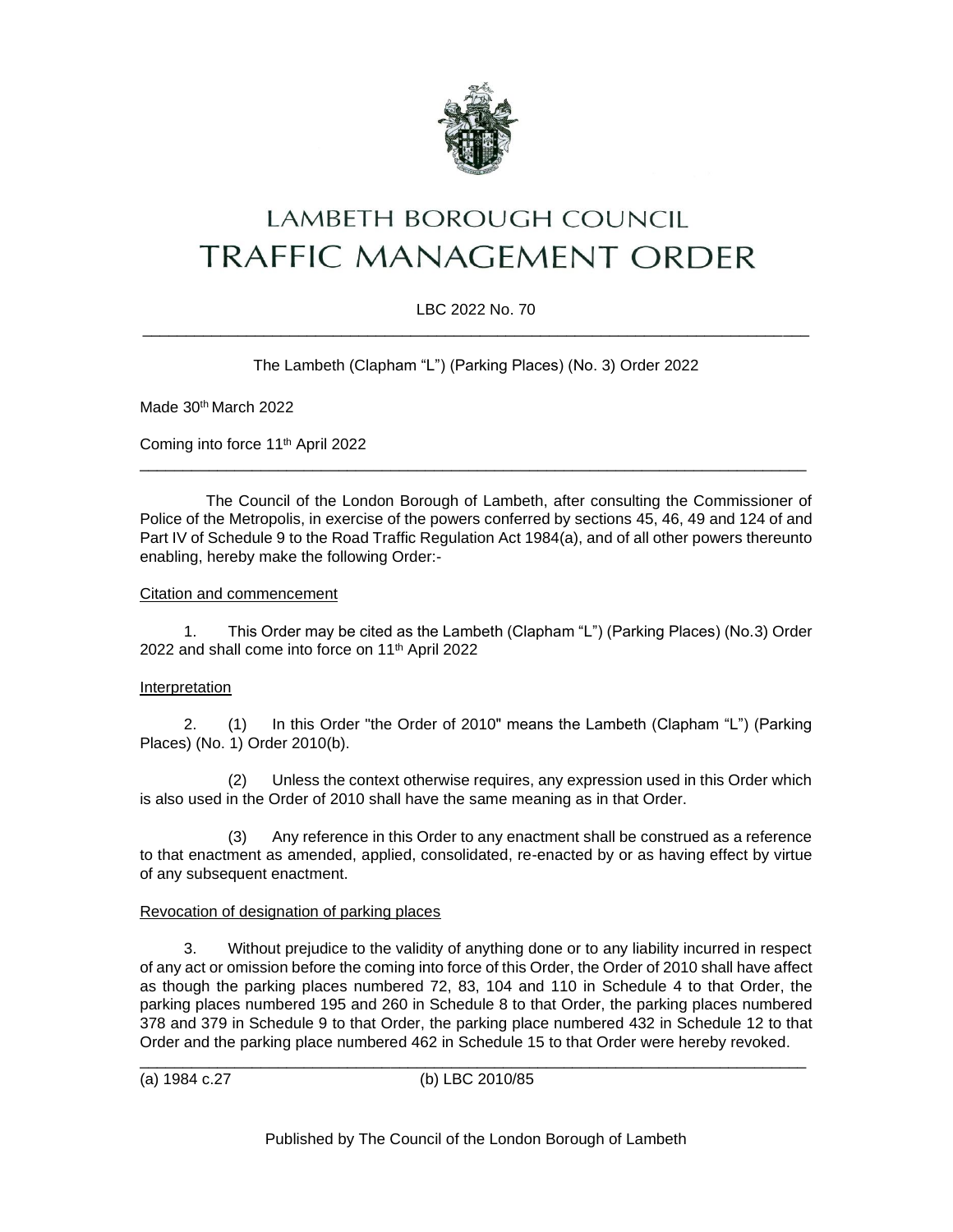

# LAMBETH BOROUGH COUNCIL **TRAFFIC MANAGEMENT ORDER**

# LBC 2022 No. 70 \_\_\_\_\_\_\_\_\_\_\_\_\_\_\_\_\_\_\_\_\_\_\_\_\_\_\_\_\_\_\_\_\_\_\_\_\_\_\_\_\_\_\_\_\_\_\_\_\_\_\_\_\_\_\_\_\_\_\_\_\_\_\_\_\_\_\_\_\_\_\_\_\_\_\_\_\_

The Lambeth (Clapham "L") (Parking Places) (No. 3) Order 2022

Made 30<sup>th</sup> March 2022

Coming into force 11th April 2022

The Council of the London Borough of Lambeth, after consulting the Commissioner of Police of the Metropolis, in exercise of the powers conferred by sections 45, 46, 49 and 124 of and Part IV of Schedule 9 to the Road Traffic Regulation Act 1984(a), and of all other powers thereunto enabling, hereby make the following Order:-

\_\_\_\_\_\_\_\_\_\_\_\_\_\_\_\_\_\_\_\_\_\_\_\_\_\_\_\_\_\_\_\_\_\_\_\_\_\_\_\_\_\_\_\_\_\_\_\_\_\_\_\_\_\_\_\_\_\_\_\_\_\_\_\_\_\_\_\_\_\_\_\_\_\_\_\_\_

### Citation and commencement

1. This Order may be cited as the Lambeth (Clapham "L") (Parking Places) (No.3) Order 2022 and shall come into force on 11<sup>th</sup> April 2022

### Interpretation

2. (1) In this Order "the Order of 2010" means the Lambeth (Clapham "L") (Parking Places) (No. 1) Order 2010(b).

(2) Unless the context otherwise requires, any expression used in this Order which is also used in the Order of 2010 shall have the same meaning as in that Order.

(3) Any reference in this Order to any enactment shall be construed as a reference to that enactment as amended, applied, consolidated, re-enacted by or as having effect by virtue of any subsequent enactment.

### Revocation of designation of parking places

3. Without prejudice to the validity of anything done or to any liability incurred in respect of any act or omission before the coming into force of this Order, the Order of 2010 shall have affect as though the parking places numbered 72, 83, 104 and 110 in Schedule 4 to that Order, the parking places numbered 195 and 260 in Schedule 8 to that Order, the parking places numbered 378 and 379 in Schedule 9 to that Order, the parking place numbered 432 in Schedule 12 to that Order and the parking place numbered 462 in Schedule 15 to that Order were hereby revoked.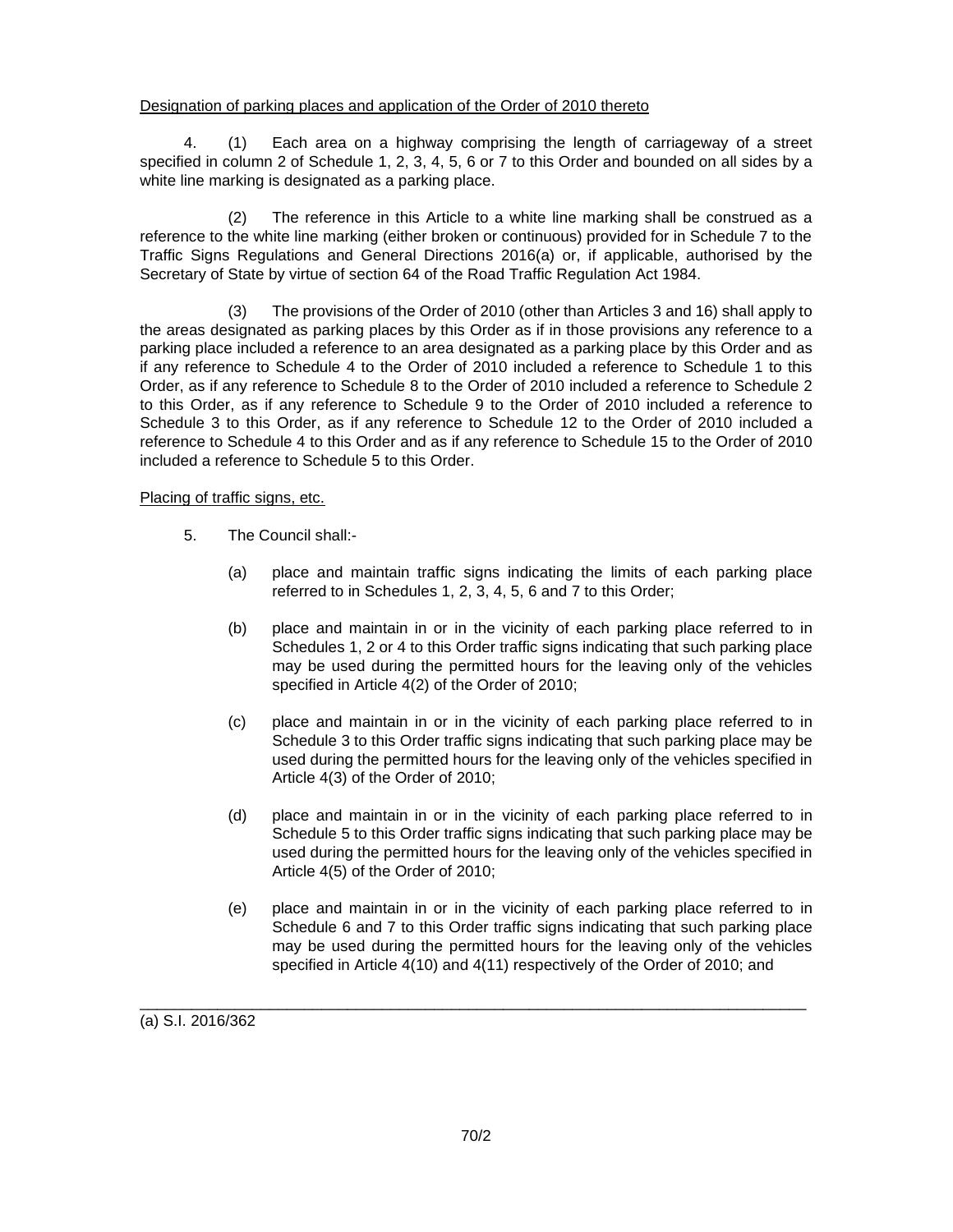## Designation of parking places and application of the Order of 2010 thereto

4. (1) Each area on a highway comprising the length of carriageway of a street specified in column 2 of Schedule 1, 2, 3, 4, 5, 6 or 7 to this Order and bounded on all sides by a white line marking is designated as a parking place.

(2) The reference in this Article to a white line marking shall be construed as a reference to the white line marking (either broken or continuous) provided for in Schedule 7 to the Traffic Signs Regulations and General Directions 2016(a) or, if applicable, authorised by the Secretary of State by virtue of section 64 of the Road Traffic Regulation Act 1984.

(3) The provisions of the Order of 2010 (other than Articles 3 and 16) shall apply to the areas designated as parking places by this Order as if in those provisions any reference to a parking place included a reference to an area designated as a parking place by this Order and as if any reference to Schedule 4 to the Order of 2010 included a reference to Schedule 1 to this Order, as if any reference to Schedule 8 to the Order of 2010 included a reference to Schedule 2 to this Order, as if any reference to Schedule 9 to the Order of 2010 included a reference to Schedule 3 to this Order, as if any reference to Schedule 12 to the Order of 2010 included a reference to Schedule 4 to this Order and as if any reference to Schedule 15 to the Order of 2010 included a reference to Schedule 5 to this Order.

# Placing of traffic signs, etc.

- 5. The Council shall:-
	- (a) place and maintain traffic signs indicating the limits of each parking place referred to in Schedules 1, 2, 3, 4, 5, 6 and 7 to this Order;
	- (b) place and maintain in or in the vicinity of each parking place referred to in Schedules 1, 2 or 4 to this Order traffic signs indicating that such parking place may be used during the permitted hours for the leaving only of the vehicles specified in Article 4(2) of the Order of 2010;
	- (c) place and maintain in or in the vicinity of each parking place referred to in Schedule 3 to this Order traffic signs indicating that such parking place may be used during the permitted hours for the leaving only of the vehicles specified in Article 4(3) of the Order of 2010;
	- (d) place and maintain in or in the vicinity of each parking place referred to in Schedule 5 to this Order traffic signs indicating that such parking place may be used during the permitted hours for the leaving only of the vehicles specified in Article 4(5) of the Order of 2010;
	- (e) place and maintain in or in the vicinity of each parking place referred to in Schedule 6 and 7 to this Order traffic signs indicating that such parking place may be used during the permitted hours for the leaving only of the vehicles specified in Article 4(10) and 4(11) respectively of the Order of 2010; and

(a) S.I. 2016/362

\_\_\_\_\_\_\_\_\_\_\_\_\_\_\_\_\_\_\_\_\_\_\_\_\_\_\_\_\_\_\_\_\_\_\_\_\_\_\_\_\_\_\_\_\_\_\_\_\_\_\_\_\_\_\_\_\_\_\_\_\_\_\_\_\_\_\_\_\_\_\_\_\_\_\_\_\_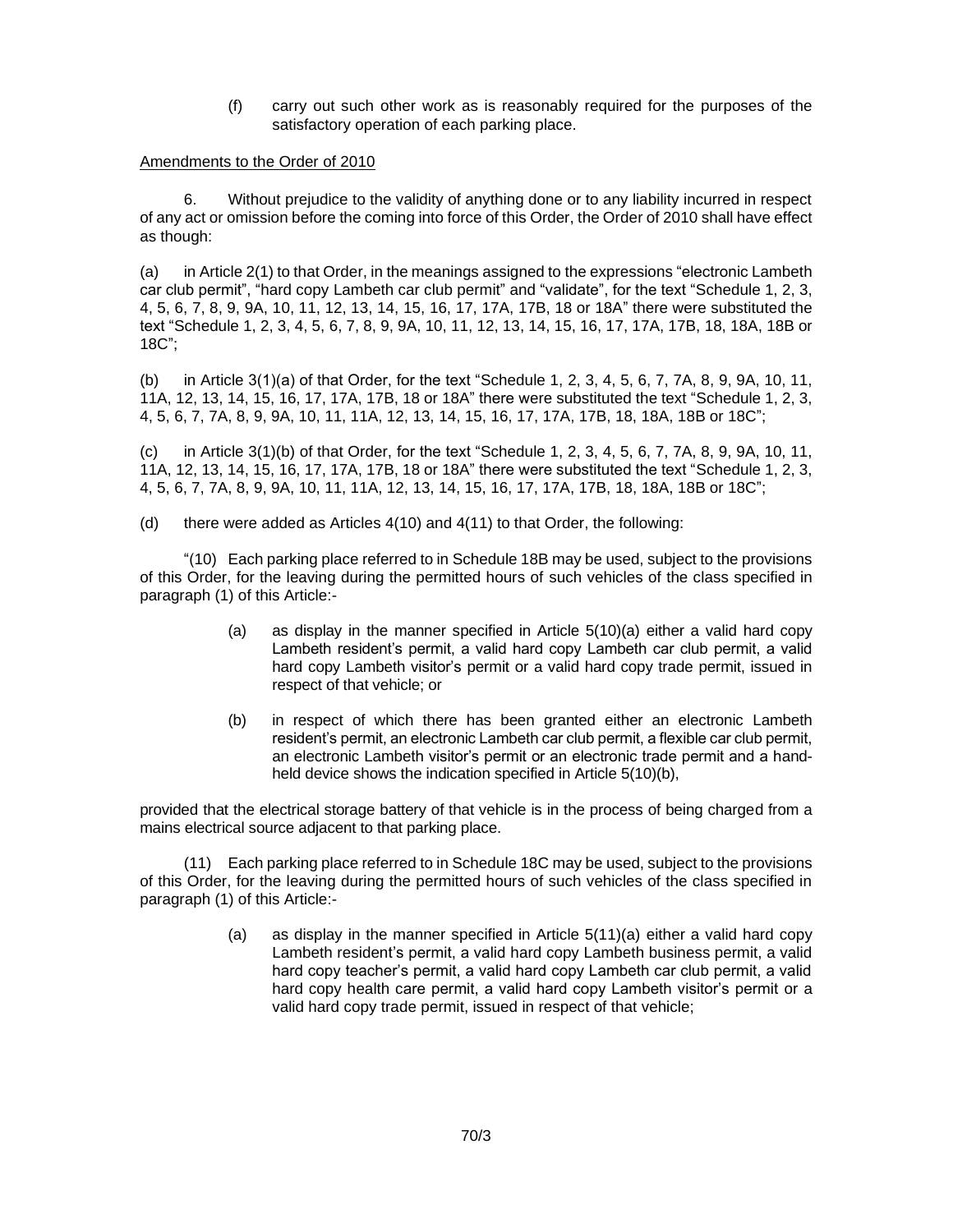(f) carry out such other work as is reasonably required for the purposes of the satisfactory operation of each parking place.

#### Amendments to the Order of 2010

6. Without prejudice to the validity of anything done or to any liability incurred in respect of any act or omission before the coming into force of this Order, the Order of 2010 shall have effect as though:

(a) in Article 2(1) to that Order, in the meanings assigned to the expressions "electronic Lambeth car club permit", "hard copy Lambeth car club permit" and "validate", for the text "Schedule 1, 2, 3, 4, 5, 6, 7, 8, 9, 9A, 10, 11, 12, 13, 14, 15, 16, 17, 17A, 17B, 18 or 18A" there were substituted the text "Schedule 1, 2, 3, 4, 5, 6, 7, 8, 9, 9A, 10, 11, 12, 13, 14, 15, 16, 17, 17A, 17B, 18, 18A, 18B or 18C";

(b) in Article 3(1)(a) of that Order, for the text "Schedule 1, 2, 3, 4, 5, 6, 7, 7A, 8, 9, 9A, 10, 11, 11A, 12, 13, 14, 15, 16, 17, 17A, 17B, 18 or 18A" there were substituted the text "Schedule 1, 2, 3, 4, 5, 6, 7, 7A, 8, 9, 9A, 10, 11, 11A, 12, 13, 14, 15, 16, 17, 17A, 17B, 18, 18A, 18B or 18C";

(c) in Article 3(1)(b) of that Order, for the text "Schedule 1, 2, 3, 4, 5, 6, 7, 7A, 8, 9, 9A, 10, 11, 11A, 12, 13, 14, 15, 16, 17, 17A, 17B, 18 or 18A" there were substituted the text "Schedule 1, 2, 3, 4, 5, 6, 7, 7A, 8, 9, 9A, 10, 11, 11A, 12, 13, 14, 15, 16, 17, 17A, 17B, 18, 18A, 18B or 18C";

(d) there were added as Articles 4(10) and 4(11) to that Order, the following:

"(10) Each parking place referred to in Schedule 18B may be used, subject to the provisions of this Order, for the leaving during the permitted hours of such vehicles of the class specified in paragraph (1) of this Article:-

- (a) as display in the manner specified in Article 5(10)(a) either a valid hard copy Lambeth resident's permit, a valid hard copy Lambeth car club permit, a valid hard copy Lambeth visitor's permit or a valid hard copy trade permit, issued in respect of that vehicle; or
- (b) in respect of which there has been granted either an electronic Lambeth resident's permit, an electronic Lambeth car club permit, a flexible car club permit, an electronic Lambeth visitor's permit or an electronic trade permit and a handheld device shows the indication specified in Article 5(10)(b),

provided that the electrical storage battery of that vehicle is in the process of being charged from a mains electrical source adjacent to that parking place.

(11) Each parking place referred to in Schedule 18C may be used, subject to the provisions of this Order, for the leaving during the permitted hours of such vehicles of the class specified in paragraph (1) of this Article:-

> (a) as display in the manner specified in Article 5(11)(a) either a valid hard copy Lambeth resident's permit, a valid hard copy Lambeth business permit, a valid hard copy teacher's permit, a valid hard copy Lambeth car club permit, a valid hard copy health care permit, a valid hard copy Lambeth visitor's permit or a valid hard copy trade permit, issued in respect of that vehicle;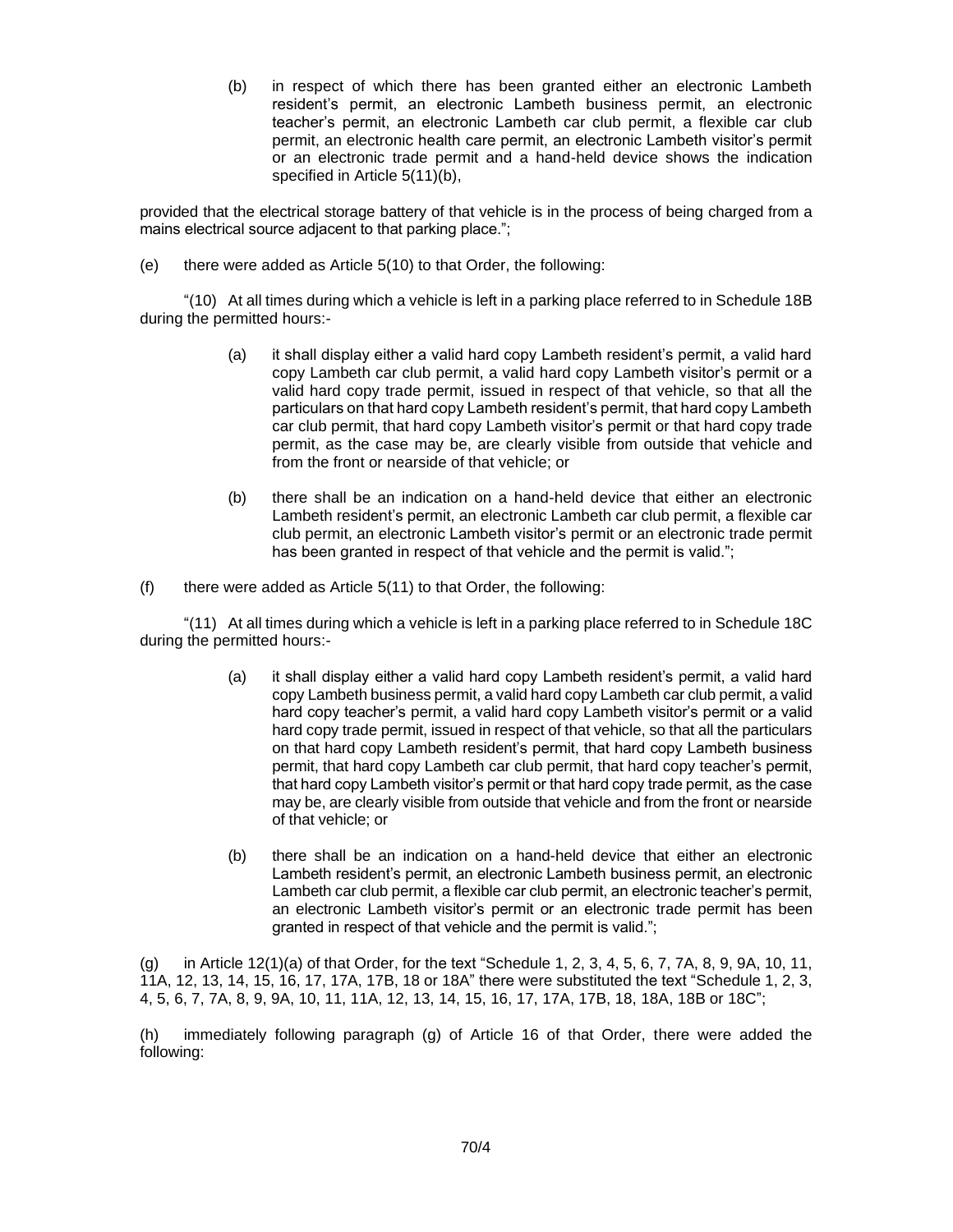(b) in respect of which there has been granted either an electronic Lambeth resident's permit, an electronic Lambeth business permit, an electronic teacher's permit, an electronic Lambeth car club permit, a flexible car club permit, an electronic health care permit, an electronic Lambeth visitor's permit or an electronic trade permit and a hand-held device shows the indication specified in Article 5(11)(b),

provided that the electrical storage battery of that vehicle is in the process of being charged from a mains electrical source adjacent to that parking place.";

(e) there were added as Article 5(10) to that Order, the following:

"(10) At all times during which a vehicle is left in a parking place referred to in Schedule 18B during the permitted hours:-

- (a) it shall display either a valid hard copy Lambeth resident's permit, a valid hard copy Lambeth car club permit, a valid hard copy Lambeth visitor's permit or a valid hard copy trade permit, issued in respect of that vehicle, so that all the particulars on that hard copy Lambeth resident's permit, that hard copy Lambeth car club permit, that hard copy Lambeth visitor's permit or that hard copy trade permit, as the case may be, are clearly visible from outside that vehicle and from the front or nearside of that vehicle; or
- (b) there shall be an indication on a hand-held device that either an electronic Lambeth resident's permit, an electronic Lambeth car club permit, a flexible car club permit, an electronic Lambeth visitor's permit or an electronic trade permit has been granted in respect of that vehicle and the permit is valid.";
- $(f)$  there were added as Article  $5(11)$  to that Order, the following:

"(11) At all times during which a vehicle is left in a parking place referred to in Schedule 18C during the permitted hours:-

- (a) it shall display either a valid hard copy Lambeth resident's permit, a valid hard copy Lambeth business permit, a valid hard copy Lambeth car club permit, a valid hard copy teacher's permit, a valid hard copy Lambeth visitor's permit or a valid hard copy trade permit, issued in respect of that vehicle, so that all the particulars on that hard copy Lambeth resident's permit, that hard copy Lambeth business permit, that hard copy Lambeth car club permit, that hard copy teacher's permit, that hard copy Lambeth visitor's permit or that hard copy trade permit, as the case may be, are clearly visible from outside that vehicle and from the front or nearside of that vehicle; or
- (b) there shall be an indication on a hand-held device that either an electronic Lambeth resident's permit, an electronic Lambeth business permit, an electronic Lambeth car club permit, a flexible car club permit, an electronic teacher's permit, an electronic Lambeth visitor's permit or an electronic trade permit has been granted in respect of that vehicle and the permit is valid.";

(g) in Article  $12(1)(a)$  of that Order, for the text "Schedule 1, 2, 3, 4, 5, 6, 7, 7A, 8, 9, 9A, 10, 11, 11A, 12, 13, 14, 15, 16, 17, 17A, 17B, 18 or 18A" there were substituted the text "Schedule 1, 2, 3, 4, 5, 6, 7, 7A, 8, 9, 9A, 10, 11, 11A, 12, 13, 14, 15, 16, 17, 17A, 17B, 18, 18A, 18B or 18C";

(h) immediately following paragraph (g) of Article 16 of that Order, there were added the following: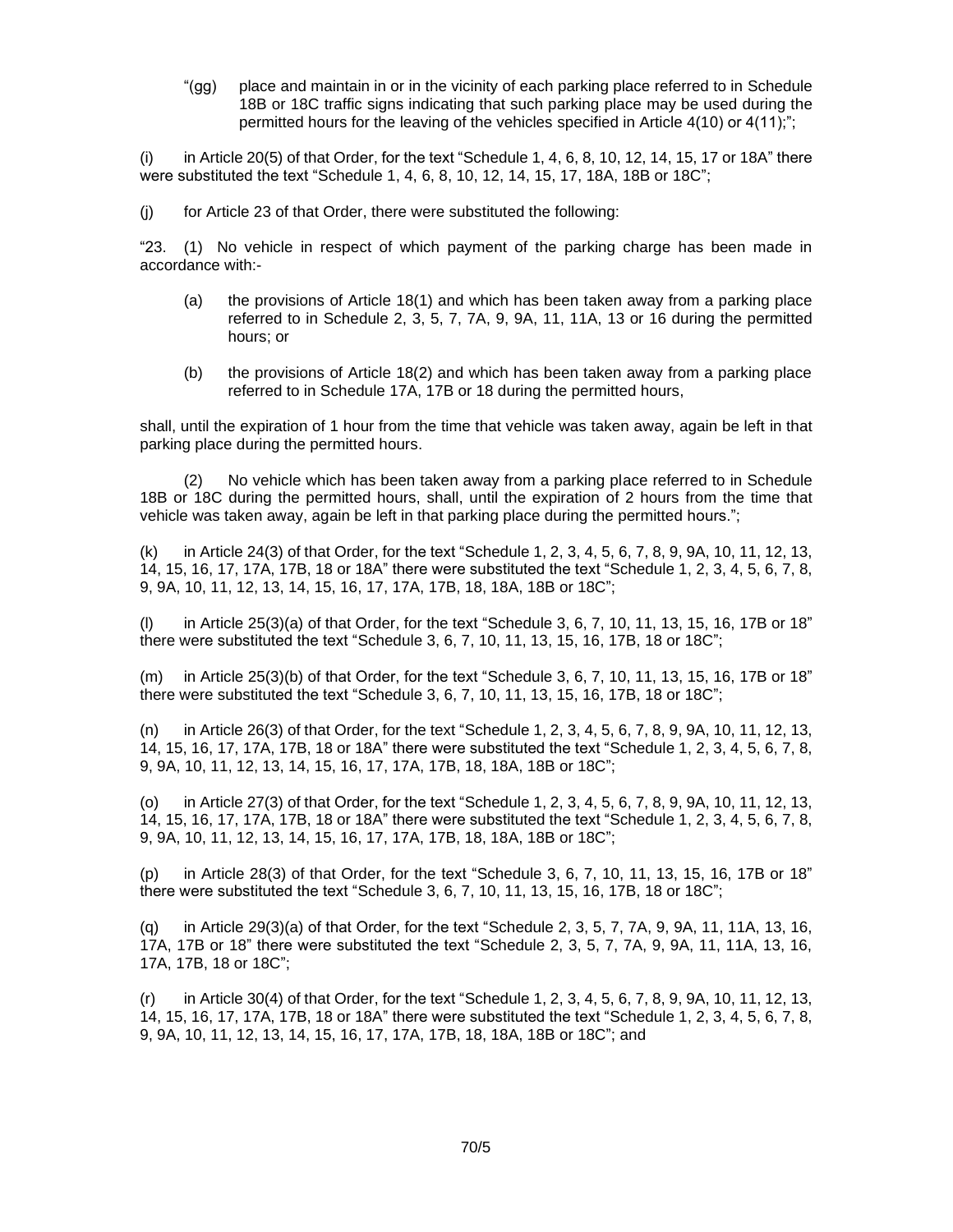"(gg) place and maintain in or in the vicinity of each parking place referred to in Schedule 18B or 18C traffic signs indicating that such parking place may be used during the permitted hours for the leaving of the vehicles specified in Article 4(10) or 4(11);";

 $(i)$  in Article 20(5) of that Order, for the text "Schedule 1, 4, 6, 8, 10, 12, 14, 15, 17 or 18A" there were substituted the text "Schedule 1, 4, 6, 8, 10, 12, 14, 15, 17, 18A, 18B or 18C";

(j) for Article 23 of that Order, there were substituted the following:

"23. (1) No vehicle in respect of which payment of the parking charge has been made in accordance with:-

- (a) the provisions of Article 18(1) and which has been taken away from a parking place referred to in Schedule 2, 3, 5, 7, 7A, 9, 9A, 11, 11A, 13 or 16 during the permitted hours; or
- (b) the provisions of Article 18(2) and which has been taken away from a parking place referred to in Schedule 17A, 17B or 18 during the permitted hours,

shall, until the expiration of 1 hour from the time that vehicle was taken away, again be left in that parking place during the permitted hours.

(2) No vehicle which has been taken away from a parking place referred to in Schedule 18B or 18C during the permitted hours, shall, until the expiration of 2 hours from the time that vehicle was taken away, again be left in that parking place during the permitted hours.";

(k) in Article 24(3) of that Order, for the text "Schedule 1, 2, 3, 4, 5, 6, 7, 8, 9, 9A, 10, 11, 12, 13, 14, 15, 16, 17, 17A, 17B, 18 or 18A" there were substituted the text "Schedule 1, 2, 3, 4, 5, 6, 7, 8, 9, 9A, 10, 11, 12, 13, 14, 15, 16, 17, 17A, 17B, 18, 18A, 18B or 18C";

in Article  $25(3)(a)$  of that Order, for the text "Schedule 3, 6, 7, 10, 11, 13, 15, 16, 17B or 18" there were substituted the text "Schedule 3, 6, 7, 10, 11, 13, 15, 16, 17B, 18 or 18C";

(m) in Article 25(3)(b) of that Order, for the text "Schedule 3, 6, 7, 10, 11, 13, 15, 16, 17B or 18" there were substituted the text "Schedule 3, 6, 7, 10, 11, 13, 15, 16, 17B, 18 or 18C";

(n) in Article 26(3) of that Order, for the text "Schedule 1, 2, 3, 4, 5, 6, 7, 8, 9, 9A, 10, 11, 12, 13, 14, 15, 16, 17, 17A, 17B, 18 or 18A" there were substituted the text "Schedule 1, 2, 3, 4, 5, 6, 7, 8, 9, 9A, 10, 11, 12, 13, 14, 15, 16, 17, 17A, 17B, 18, 18A, 18B or 18C";

(o) in Article 27(3) of that Order, for the text "Schedule 1, 2, 3, 4, 5, 6, 7, 8, 9, 9A, 10, 11, 12, 13, 14, 15, 16, 17, 17A, 17B, 18 or 18A" there were substituted the text "Schedule 1, 2, 3, 4, 5, 6, 7, 8, 9, 9A, 10, 11, 12, 13, 14, 15, 16, 17, 17A, 17B, 18, 18A, 18B or 18C";

(p) in Article 28(3) of that Order, for the text "Schedule 3, 6, 7, 10, 11, 13, 15, 16, 17B or 18" there were substituted the text "Schedule 3, 6, 7, 10, 11, 13, 15, 16, 17B, 18 or 18C";

(q) in Article 29(3)(a) of that Order, for the text "Schedule 2, 3, 5, 7, 7A, 9, 9A, 11, 11A, 13, 16, 17A, 17B or 18" there were substituted the text "Schedule 2, 3, 5, 7, 7A, 9, 9A, 11, 11A, 13, 16, 17A, 17B, 18 or 18C";

(r) in Article 30(4) of that Order, for the text "Schedule 1, 2, 3, 4, 5, 6, 7, 8, 9, 9A, 10, 11, 12, 13, 14, 15, 16, 17, 17A, 17B, 18 or 18A" there were substituted the text "Schedule 1, 2, 3, 4, 5, 6, 7, 8, 9, 9A, 10, 11, 12, 13, 14, 15, 16, 17, 17A, 17B, 18, 18A, 18B or 18C"; and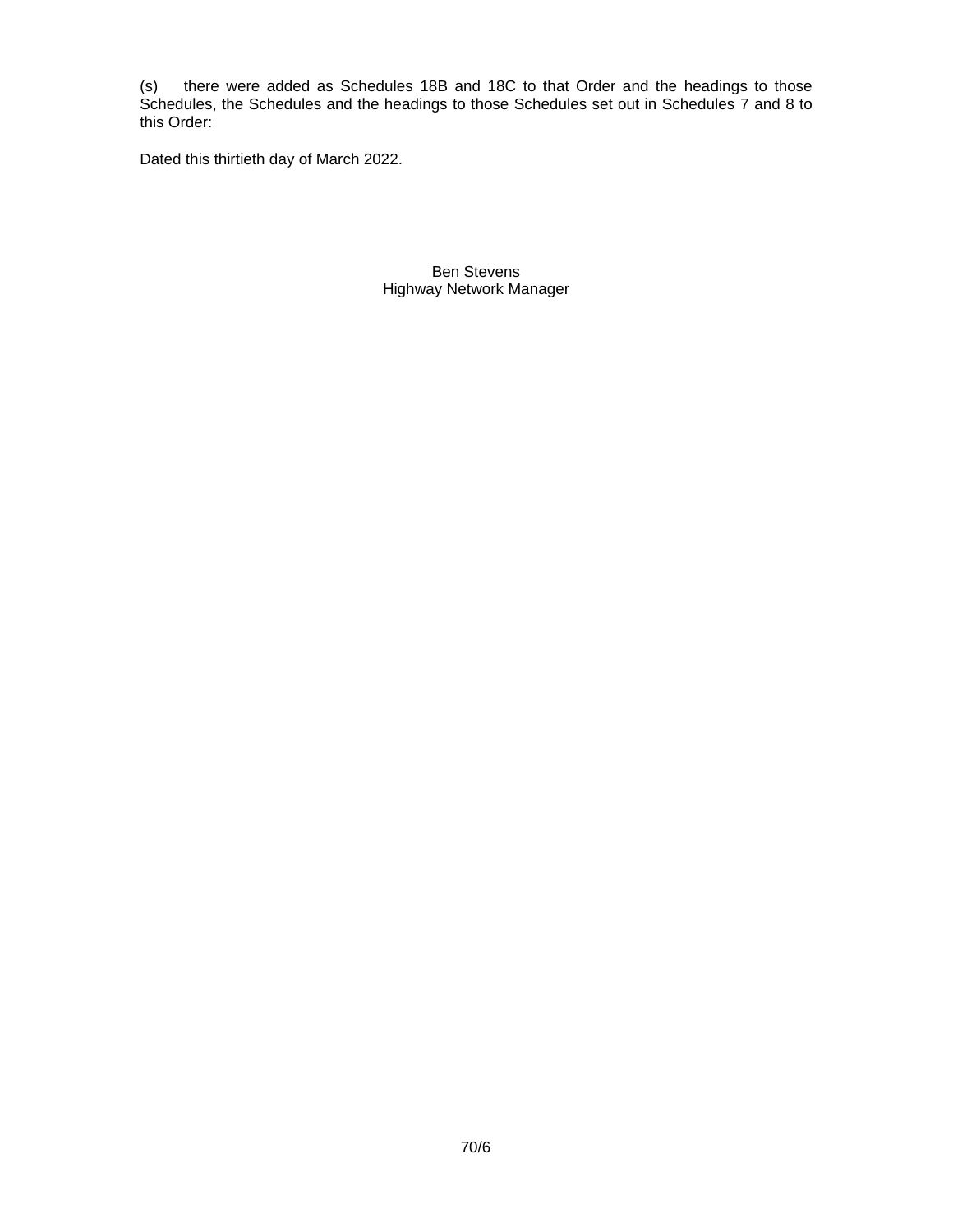(s) there were added as Schedules 18B and 18C to that Order and the headings to those Schedules, the Schedules and the headings to those Schedules set out in Schedules 7 and 8 to this Order:

Dated this thirtieth day of March 2022.

Ben Stevens Highway Network Manager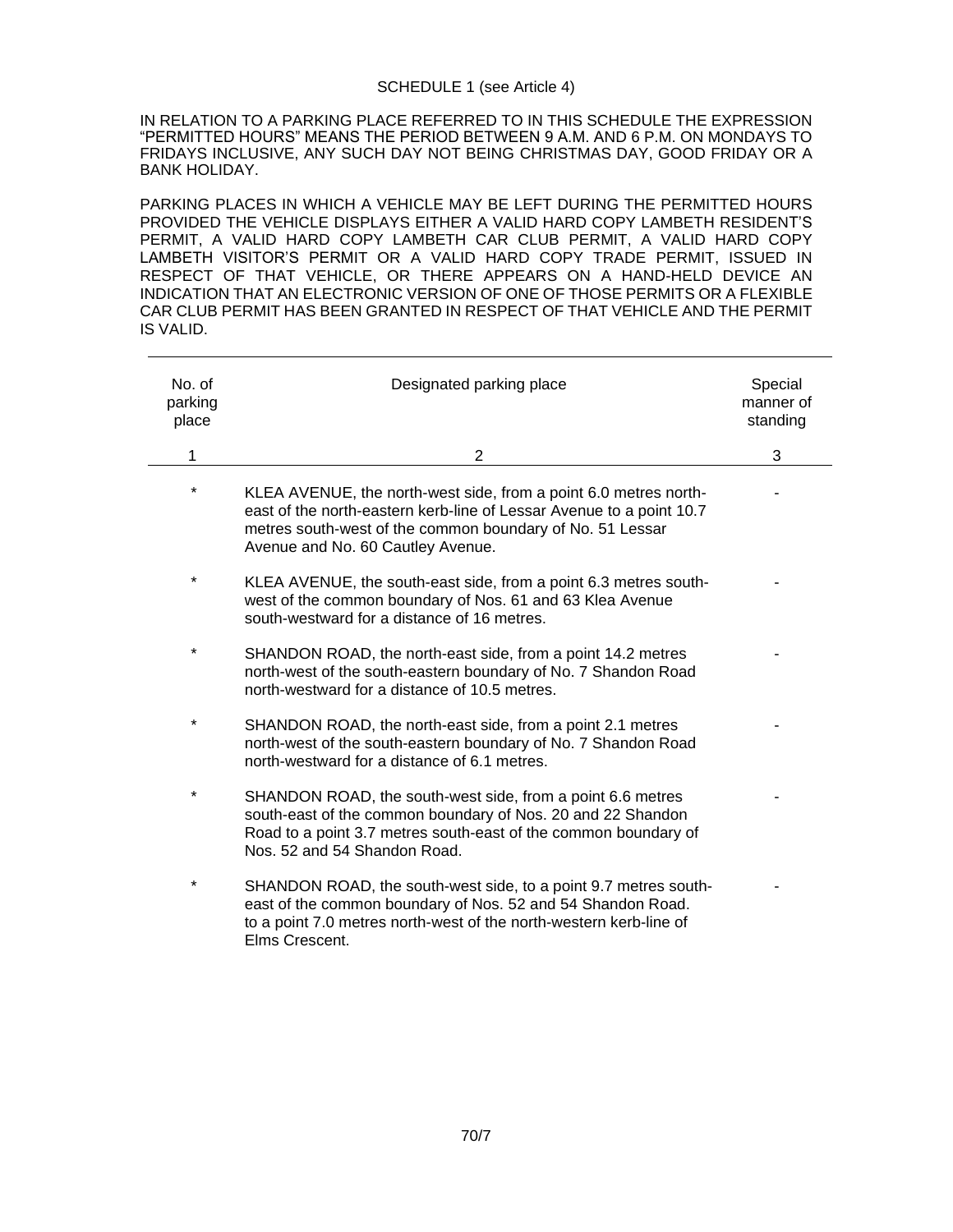## SCHEDULE 1 (see Article 4)

IN RELATION TO A PARKING PLACE REFERRED TO IN THIS SCHEDULE THE EXPRESSION "PERMITTED HOURS" MEANS THE PERIOD BETWEEN 9 A.M. AND 6 P.M. ON MONDAYS TO FRIDAYS INCLUSIVE, ANY SUCH DAY NOT BEING CHRISTMAS DAY, GOOD FRIDAY OR A BANK HOLIDAY.

PARKING PLACES IN WHICH A VEHICLE MAY BE LEFT DURING THE PERMITTED HOURS PROVIDED THE VEHICLE DISPLAYS EITHER A VALID HARD COPY LAMBETH RESIDENT'S PERMIT, A VALID HARD COPY LAMBETH CAR CLUB PERMIT, A VALID HARD COPY LAMBETH VISITOR'S PERMIT OR A VALID HARD COPY TRADE PERMIT, ISSUED IN RESPECT OF THAT VEHICLE, OR THERE APPEARS ON A HAND-HELD DEVICE AN INDICATION THAT AN ELECTRONIC VERSION OF ONE OF THOSE PERMITS OR A FLEXIBLE CAR CLUB PERMIT HAS BEEN GRANTED IN RESPECT OF THAT VEHICLE AND THE PERMIT IS VALID.

| No. of<br>parking<br>place | Designated parking place                                                                                                                                                                                                                   | Special<br>manner of<br>standing |
|----------------------------|--------------------------------------------------------------------------------------------------------------------------------------------------------------------------------------------------------------------------------------------|----------------------------------|
| 1                          | $\overline{2}$                                                                                                                                                                                                                             | 3                                |
| $^{\star}$                 | KLEA AVENUE, the north-west side, from a point 6.0 metres north-<br>east of the north-eastern kerb-line of Lessar Avenue to a point 10.7<br>metres south-west of the common boundary of No. 51 Lessar<br>Avenue and No. 60 Cautley Avenue. |                                  |
| $^{\star}$                 | KLEA AVENUE, the south-east side, from a point 6.3 metres south-<br>west of the common boundary of Nos. 61 and 63 Klea Avenue<br>south-westward for a distance of 16 metres.                                                               |                                  |
| $\star$                    | SHANDON ROAD, the north-east side, from a point 14.2 metres<br>north-west of the south-eastern boundary of No. 7 Shandon Road<br>north-westward for a distance of 10.5 metres.                                                             |                                  |
| $^\star$                   | SHANDON ROAD, the north-east side, from a point 2.1 metres<br>north-west of the south-eastern boundary of No. 7 Shandon Road<br>north-westward for a distance of 6.1 metres.                                                               |                                  |
| *                          | SHANDON ROAD, the south-west side, from a point 6.6 metres<br>south-east of the common boundary of Nos. 20 and 22 Shandon<br>Road to a point 3.7 metres south-east of the common boundary of<br>Nos. 52 and 54 Shandon Road.               |                                  |
| $\star$                    | SHANDON ROAD, the south-west side, to a point 9.7 metres south-<br>east of the common boundary of Nos. 52 and 54 Shandon Road.<br>to a point 7.0 metres north-west of the north-western kerb-line of<br>Elms Crescent.                     |                                  |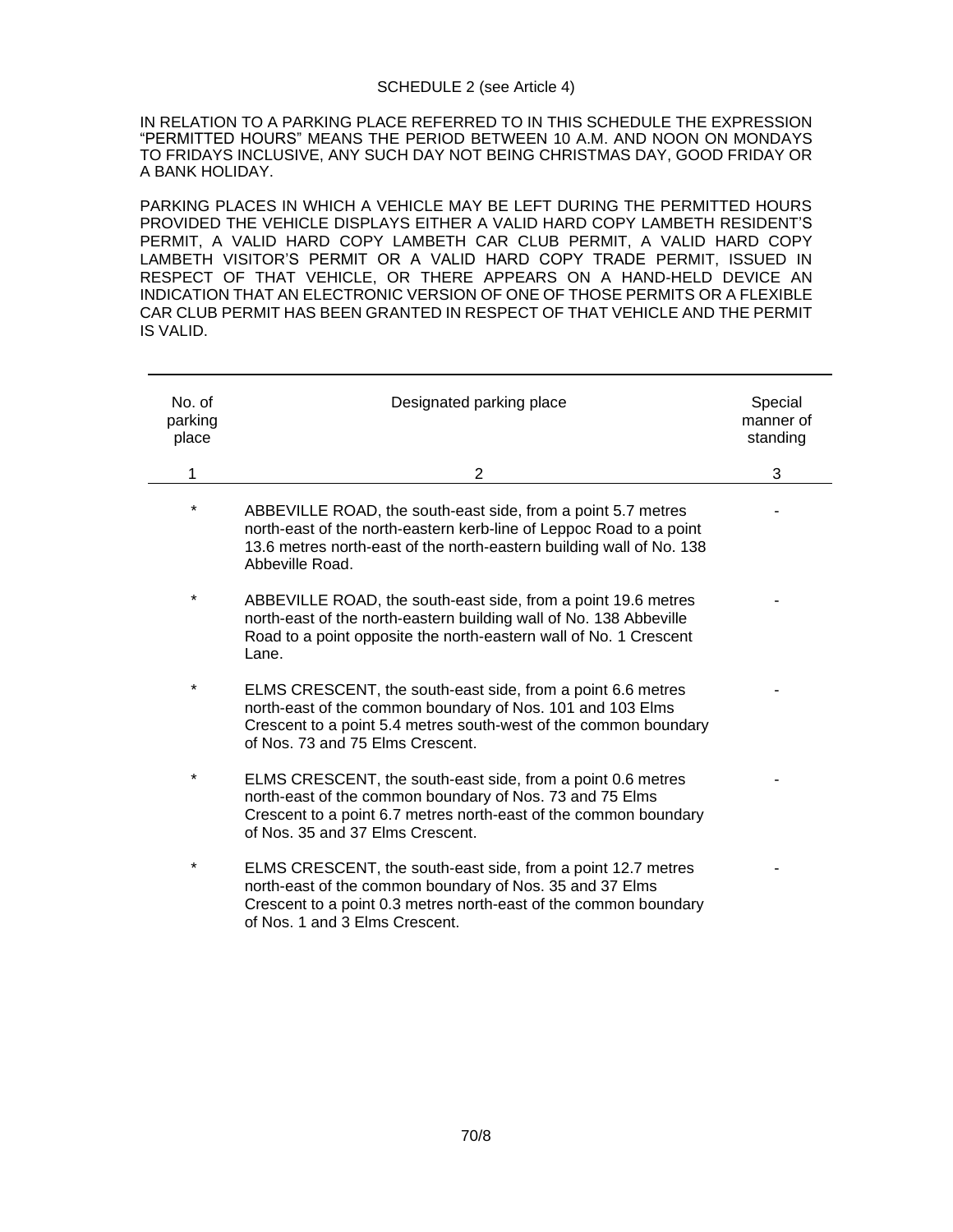### SCHEDULE 2 (see Article 4)

IN RELATION TO A PARKING PLACE REFERRED TO IN THIS SCHEDULE THE EXPRESSION "PERMITTED HOURS" MEANS THE PERIOD BETWEEN 10 A.M. AND NOON ON MONDAYS TO FRIDAYS INCLUSIVE, ANY SUCH DAY NOT BEING CHRISTMAS DAY, GOOD FRIDAY OR A BANK HOLIDAY.

PARKING PLACES IN WHICH A VEHICLE MAY BE LEFT DURING THE PERMITTED HOURS PROVIDED THE VEHICLE DISPLAYS EITHER A VALID HARD COPY LAMBETH RESIDENT'S PERMIT, A VALID HARD COPY LAMBETH CAR CLUB PERMIT, A VALID HARD COPY LAMBETH VISITOR'S PERMIT OR A VALID HARD COPY TRADE PERMIT, ISSUED IN RESPECT OF THAT VEHICLE, OR THERE APPEARS ON A HAND-HELD DEVICE AN INDICATION THAT AN ELECTRONIC VERSION OF ONE OF THOSE PERMITS OR A FLEXIBLE CAR CLUB PERMIT HAS BEEN GRANTED IN RESPECT OF THAT VEHICLE AND THE PERMIT IS VALID.

| No. of<br>parking<br>place | Designated parking place                                                                                                                                                                                                          | Special<br>manner of<br>standing |
|----------------------------|-----------------------------------------------------------------------------------------------------------------------------------------------------------------------------------------------------------------------------------|----------------------------------|
| 1                          | $\overline{2}$                                                                                                                                                                                                                    | 3                                |
| *                          | ABBEVILLE ROAD, the south-east side, from a point 5.7 metres<br>north-east of the north-eastern kerb-line of Leppoc Road to a point<br>13.6 metres north-east of the north-eastern building wall of No. 138<br>Abbeville Road.    |                                  |
| *                          | ABBEVILLE ROAD, the south-east side, from a point 19.6 metres<br>north-east of the north-eastern building wall of No. 138 Abbeville<br>Road to a point opposite the north-eastern wall of No. 1 Crescent<br>Lane.                 |                                  |
| $^\star$                   | ELMS CRESCENT, the south-east side, from a point 6.6 metres<br>north-east of the common boundary of Nos. 101 and 103 Elms<br>Crescent to a point 5.4 metres south-west of the common boundary<br>of Nos. 73 and 75 Elms Crescent. |                                  |
| $^\star$                   | ELMS CRESCENT, the south-east side, from a point 0.6 metres<br>north-east of the common boundary of Nos. 73 and 75 Elms<br>Crescent to a point 6.7 metres north-east of the common boundary<br>of Nos. 35 and 37 Elms Crescent.   |                                  |
| $^{\star}$                 | ELMS CRESCENT, the south-east side, from a point 12.7 metres<br>north-east of the common boundary of Nos. 35 and 37 Elms<br>Crescent to a point 0.3 metres north-east of the common boundary<br>of Nos. 1 and 3 Elms Crescent.    |                                  |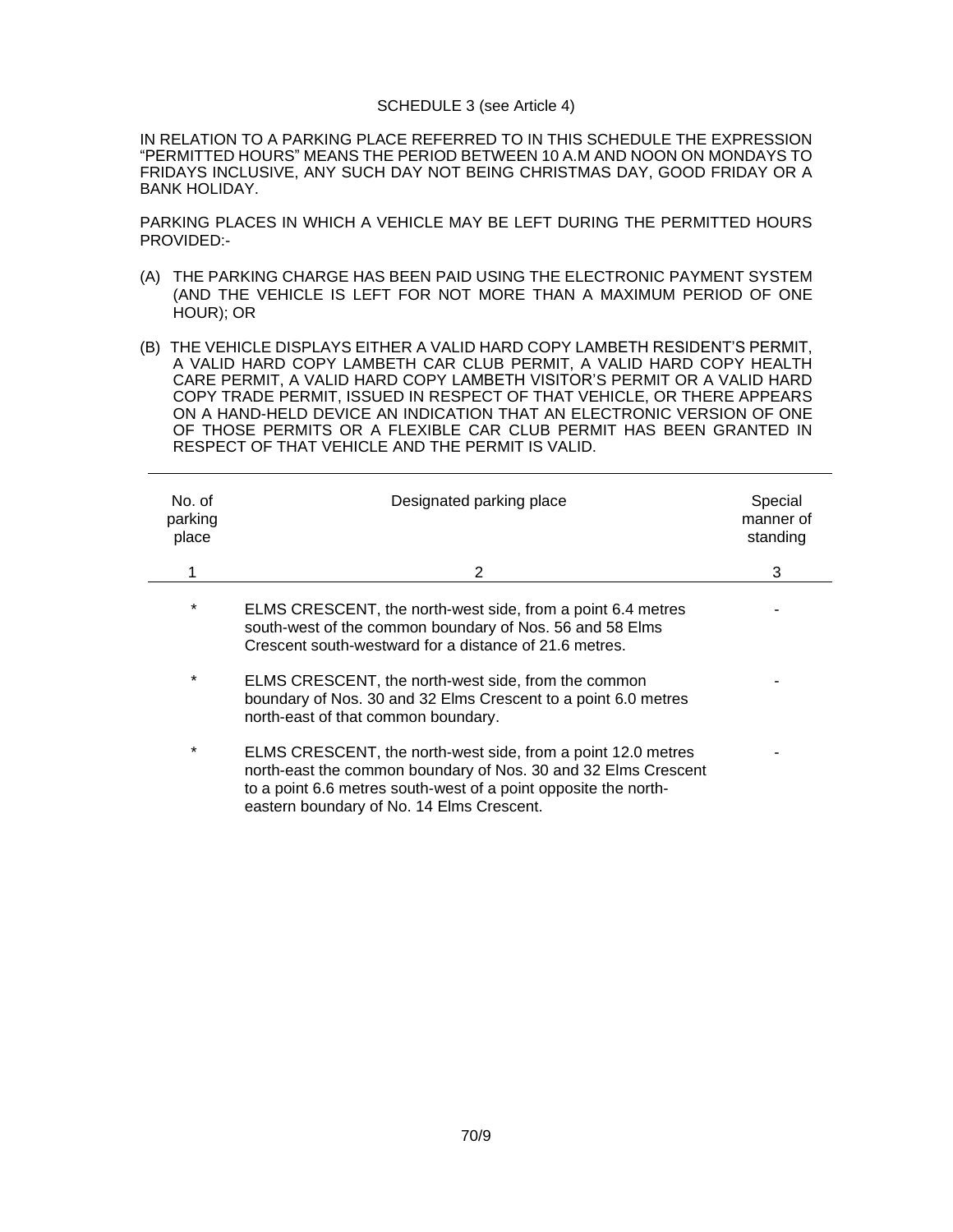#### SCHEDULE 3 (see Article 4)

IN RELATION TO A PARKING PLACE REFERRED TO IN THIS SCHEDULE THE EXPRESSION "PERMITTED HOURS" MEANS THE PERIOD BETWEEN 10 A.M AND NOON ON MONDAYS TO FRIDAYS INCLUSIVE, ANY SUCH DAY NOT BEING CHRISTMAS DAY, GOOD FRIDAY OR A BANK HOLIDAY.

PARKING PLACES IN WHICH A VEHICLE MAY BE LEFT DURING THE PERMITTED HOURS PROVIDED:-

- (A) THE PARKING CHARGE HAS BEEN PAID USING THE ELECTRONIC PAYMENT SYSTEM (AND THE VEHICLE IS LEFT FOR NOT MORE THAN A MAXIMUM PERIOD OF ONE HOUR); OR
- (B) THE VEHICLE DISPLAYS EITHER A VALID HARD COPY LAMBETH RESIDENT'S PERMIT, A VALID HARD COPY LAMBETH CAR CLUB PERMIT, A VALID HARD COPY HEALTH CARE PERMIT, A VALID HARD COPY LAMBETH VISITOR'S PERMIT OR A VALID HARD COPY TRADE PERMIT, ISSUED IN RESPECT OF THAT VEHICLE, OR THERE APPEARS ON A HAND-HELD DEVICE AN INDICATION THAT AN ELECTRONIC VERSION OF ONE OF THOSE PERMITS OR A FLEXIBLE CAR CLUB PERMIT HAS BEEN GRANTED IN RESPECT OF THAT VEHICLE AND THE PERMIT IS VALID.

| No. of<br>parking<br>place | Designated parking place                                                                                                                                                                                                                       | Special<br>manner of<br>standing |
|----------------------------|------------------------------------------------------------------------------------------------------------------------------------------------------------------------------------------------------------------------------------------------|----------------------------------|
|                            | 2                                                                                                                                                                                                                                              | 3                                |
| *                          | ELMS CRESCENT, the north-west side, from a point 6.4 metres<br>south-west of the common boundary of Nos. 56 and 58 Elms<br>Crescent south-westward for a distance of 21.6 metres.                                                              |                                  |
| *                          | ELMS CRESCENT, the north-west side, from the common<br>boundary of Nos. 30 and 32 Elms Crescent to a point 6.0 metres<br>north-east of that common boundary.                                                                                   |                                  |
| *                          | ELMS CRESCENT, the north-west side, from a point 12.0 metres<br>north-east the common boundary of Nos. 30 and 32 Elms Crescent<br>to a point 6.6 metres south-west of a point opposite the north-<br>eastern boundary of No. 14 Elms Crescent. |                                  |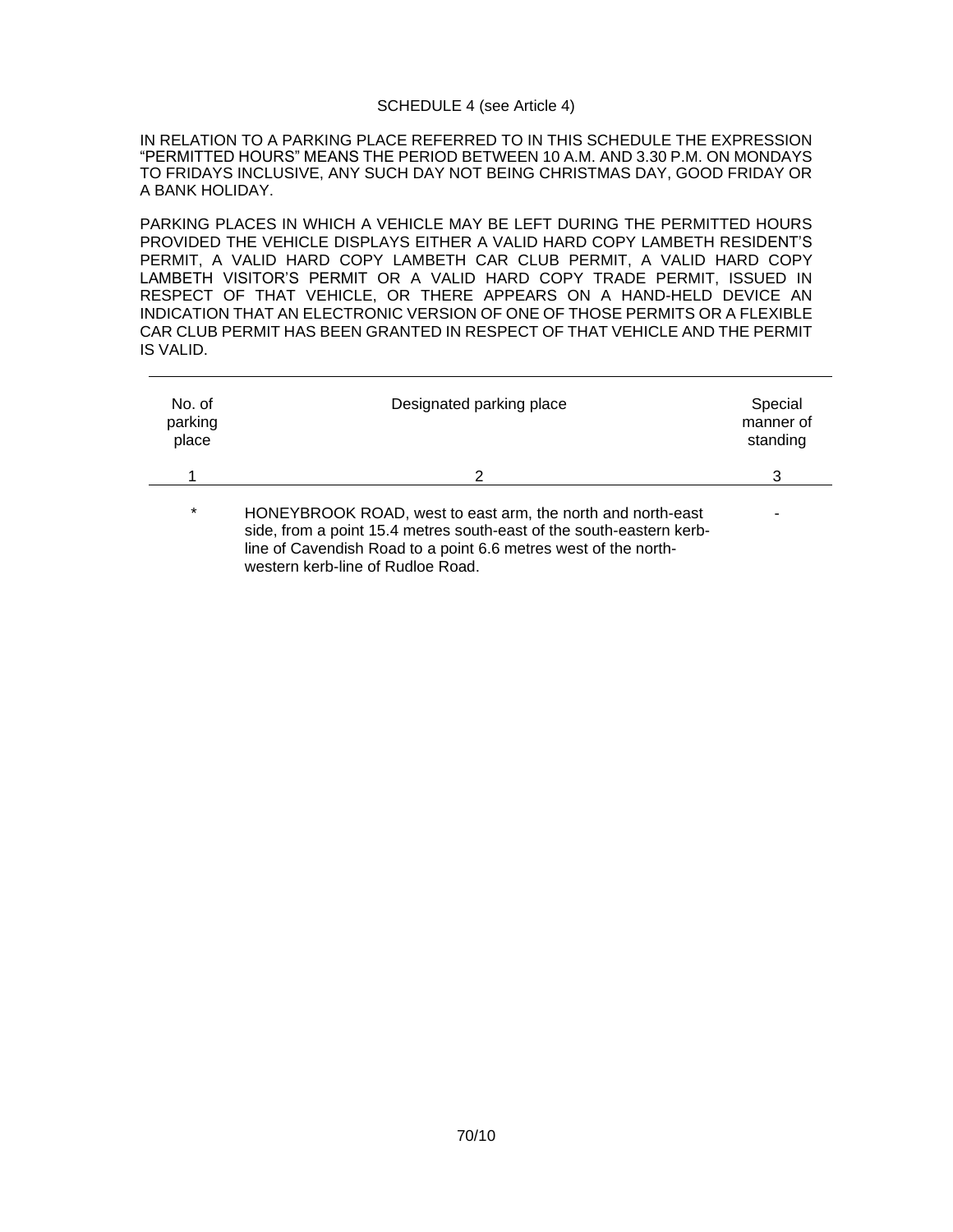#### SCHEDULE 4 (see Article 4)

IN RELATION TO A PARKING PLACE REFERRED TO IN THIS SCHEDULE THE EXPRESSION "PERMITTED HOURS" MEANS THE PERIOD BETWEEN 10 A.M. AND 3.30 P.M. ON MONDAYS TO FRIDAYS INCLUSIVE, ANY SUCH DAY NOT BEING CHRISTMAS DAY, GOOD FRIDAY OR A BANK HOLIDAY.

PARKING PLACES IN WHICH A VEHICLE MAY BE LEFT DURING THE PERMITTED HOURS PROVIDED THE VEHICLE DISPLAYS EITHER A VALID HARD COPY LAMBETH RESIDENT'S PERMIT, A VALID HARD COPY LAMBETH CAR CLUB PERMIT, A VALID HARD COPY LAMBETH VISITOR'S PERMIT OR A VALID HARD COPY TRADE PERMIT, ISSUED IN RESPECT OF THAT VEHICLE, OR THERE APPEARS ON A HAND-HELD DEVICE AN INDICATION THAT AN ELECTRONIC VERSION OF ONE OF THOSE PERMITS OR A FLEXIBLE CAR CLUB PERMIT HAS BEEN GRANTED IN RESPECT OF THAT VEHICLE AND THE PERMIT IS VALID.

| No. of<br>parking<br>place | Designated parking place                                                                                                                                                                                                                    | Special<br>manner of<br>standing |
|----------------------------|---------------------------------------------------------------------------------------------------------------------------------------------------------------------------------------------------------------------------------------------|----------------------------------|
|                            | 2                                                                                                                                                                                                                                           |                                  |
| $\star$                    | HONEYBROOK ROAD, west to east arm, the north and north-east<br>side, from a point 15.4 metres south-east of the south-eastern kerb-<br>line of Cavendish Road to a point 6.6 metres west of the north-<br>western kerb-line of Rudloe Road. |                                  |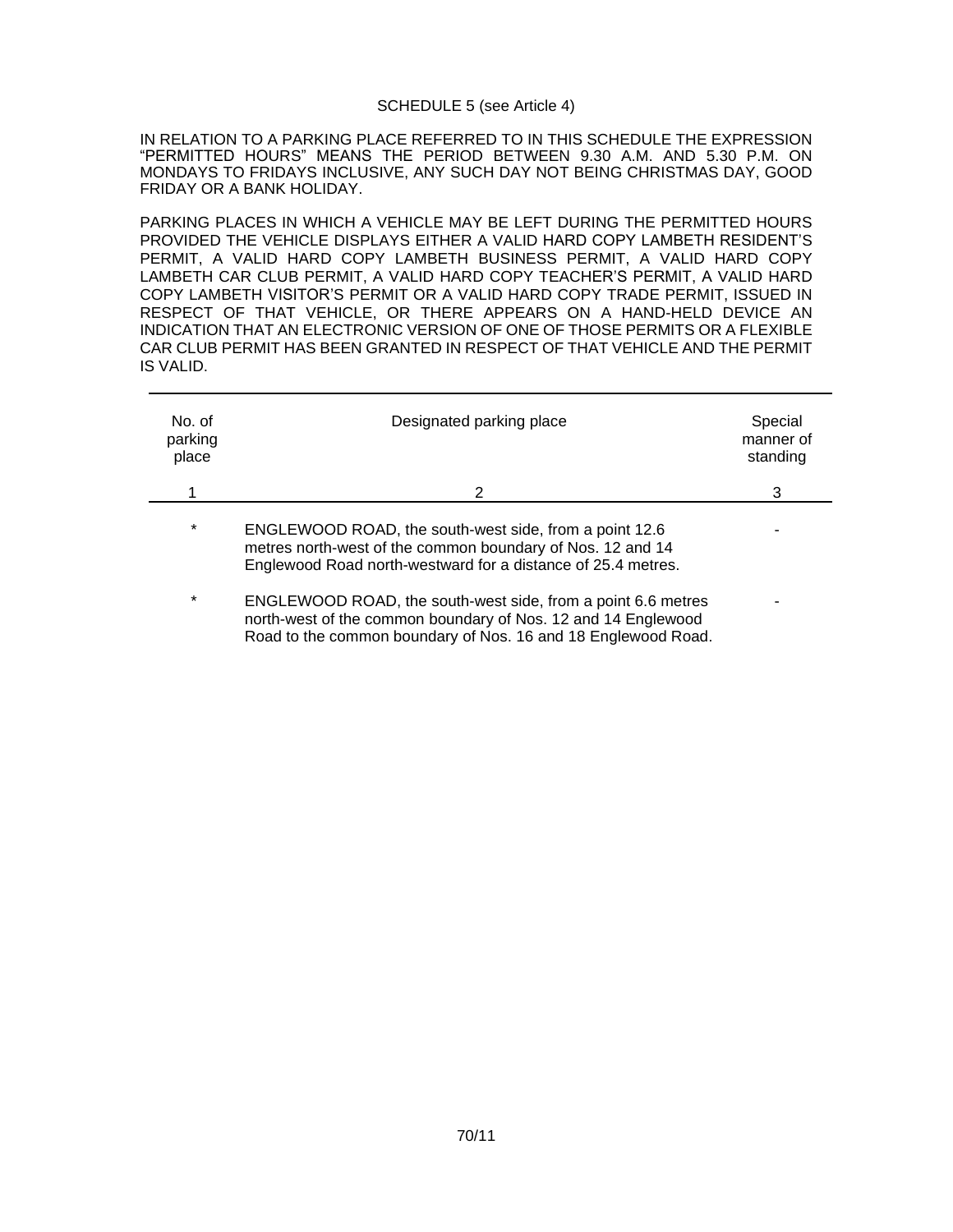#### SCHEDULE 5 (see Article 4)

IN RELATION TO A PARKING PLACE REFERRED TO IN THIS SCHEDULE THE EXPRESSION "PERMITTED HOURS" MEANS THE PERIOD BETWEEN 9.30 A.M. AND 5.30 P.M. ON MONDAYS TO FRIDAYS INCLUSIVE, ANY SUCH DAY NOT BEING CHRISTMAS DAY, GOOD FRIDAY OR A BANK HOLIDAY.

PARKING PLACES IN WHICH A VEHICLE MAY BE LEFT DURING THE PERMITTED HOURS PROVIDED THE VEHICLE DISPLAYS EITHER A VALID HARD COPY LAMBETH RESIDENT'S PERMIT, A VALID HARD COPY LAMBETH BUSINESS PERMIT, A VALID HARD COPY LAMBETH CAR CLUB PERMIT, A VALID HARD COPY TEACHER'S PERMIT, A VALID HARD COPY LAMBETH VISITOR'S PERMIT OR A VALID HARD COPY TRADE PERMIT, ISSUED IN RESPECT OF THAT VEHICLE, OR THERE APPEARS ON A HAND-HELD DEVICE AN INDICATION THAT AN ELECTRONIC VERSION OF ONE OF THOSE PERMITS OR A FLEXIBLE CAR CLUB PERMIT HAS BEEN GRANTED IN RESPECT OF THAT VEHICLE AND THE PERMIT IS VALID.

| No. of<br>parking<br>place | Designated parking place                                                                                                                                                             | Special<br>manner of<br>standing |
|----------------------------|--------------------------------------------------------------------------------------------------------------------------------------------------------------------------------------|----------------------------------|
|                            | 2                                                                                                                                                                                    | 3                                |
| $\star$                    | ENGLEWOOD ROAD, the south-west side, from a point 12.6<br>metres north-west of the common boundary of Nos. 12 and 14<br>Englewood Road north-westward for a distance of 25.4 metres. |                                  |
| $\star$                    | ENGLEWOOD ROAD, the south-west side, from a point 6.6 metres<br>north-west of the common boundary of Nos. 12 and 14 Englewood                                                        |                                  |

Road to the common boundary of Nos. 16 and 18 Englewood Road.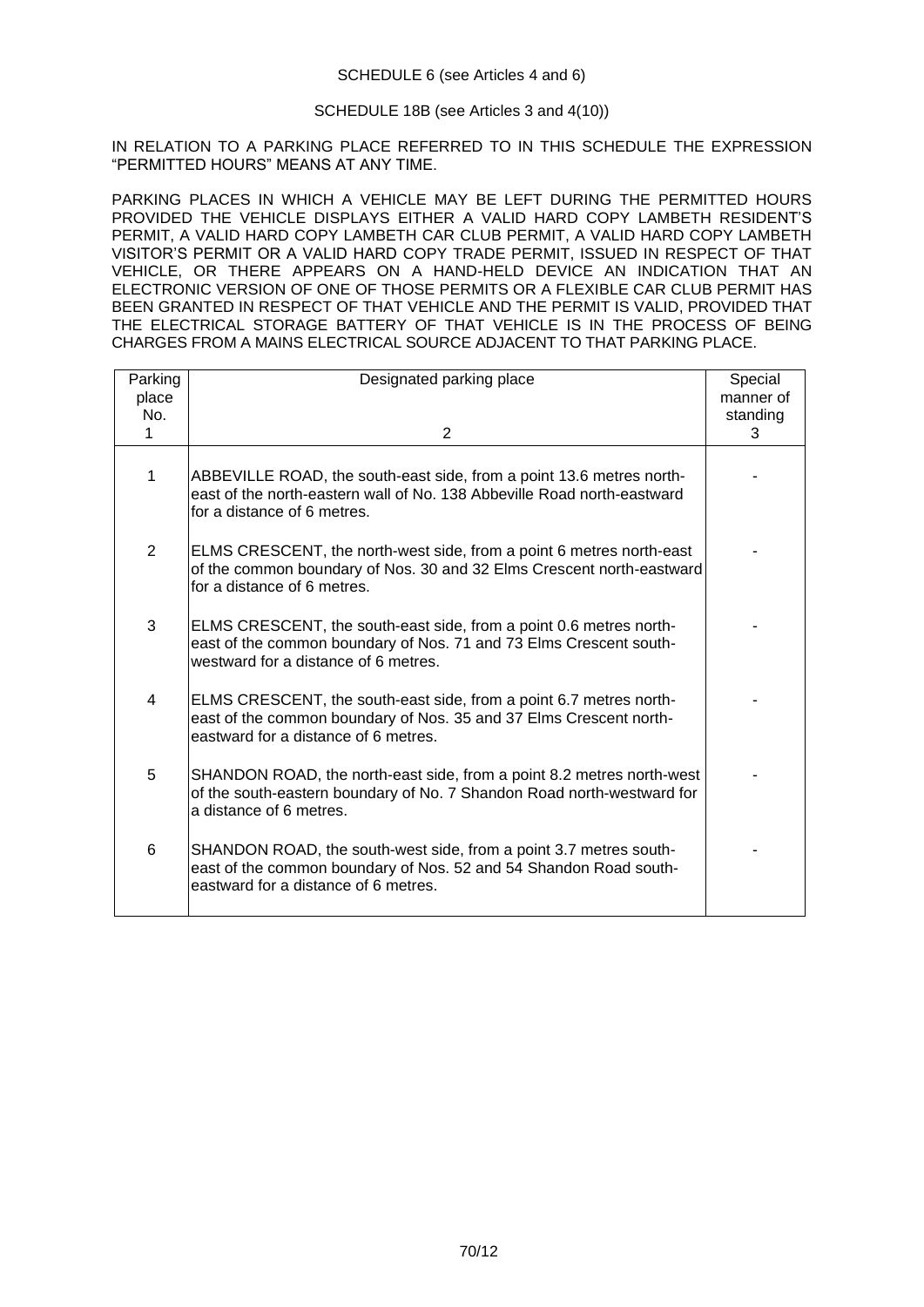# SCHEDULE 18B (see Articles 3 and 4(10))

IN RELATION TO A PARKING PLACE REFERRED TO IN THIS SCHEDULE THE EXPRESSION "PERMITTED HOURS" MEANS AT ANY TIME.

PARKING PLACES IN WHICH A VEHICLE MAY BE LEFT DURING THE PERMITTED HOURS PROVIDED THE VEHICLE DISPLAYS EITHER A VALID HARD COPY LAMBETH RESIDENT'S PERMIT, A VALID HARD COPY LAMBETH CAR CLUB PERMIT, A VALID HARD COPY LAMBETH VISITOR'S PERMIT OR A VALID HARD COPY TRADE PERMIT, ISSUED IN RESPECT OF THAT VEHICLE, OR THERE APPEARS ON A HAND-HELD DEVICE AN INDICATION THAT AN ELECTRONIC VERSION OF ONE OF THOSE PERMITS OR A FLEXIBLE CAR CLUB PERMIT HAS BEEN GRANTED IN RESPECT OF THAT VEHICLE AND THE PERMIT IS VALID, PROVIDED THAT THE ELECTRICAL STORAGE BATTERY OF THAT VEHICLE IS IN THE PROCESS OF BEING CHARGES FROM A MAINS ELECTRICAL SOURCE ADJACENT TO THAT PARKING PLACE.

| Parking        | Designated parking place                                                                                                                                                         | Special       |
|----------------|----------------------------------------------------------------------------------------------------------------------------------------------------------------------------------|---------------|
| place          |                                                                                                                                                                                  | manner of     |
| No.<br>1       | $\overline{2}$                                                                                                                                                                   | standing<br>3 |
|                |                                                                                                                                                                                  |               |
| 1              | ABBEVILLE ROAD, the south-east side, from a point 13.6 metres north-<br>east of the north-eastern wall of No. 138 Abbeville Road north-eastward<br>lfor a distance of 6 metres.  |               |
| $\overline{2}$ | ELMS CRESCENT, the north-west side, from a point 6 metres north-east<br>of the common boundary of Nos. 30 and 32 Elms Crescent north-eastward<br>for a distance of 6 metres.     |               |
| 3              | ELMS CRESCENT, the south-east side, from a point 0.6 metres north-<br>east of the common boundary of Nos. 71 and 73 Elms Crescent south-<br>westward for a distance of 6 metres. |               |
| 4              | ELMS CRESCENT, the south-east side, from a point 6.7 metres north-<br>east of the common boundary of Nos. 35 and 37 Elms Crescent north-<br>eastward for a distance of 6 metres. |               |
| 5              | SHANDON ROAD, the north-east side, from a point 8.2 metres north-west<br>of the south-eastern boundary of No. 7 Shandon Road north-westward for<br>a distance of 6 metres.       |               |
| 6              | SHANDON ROAD, the south-west side, from a point 3.7 metres south-<br>east of the common boundary of Nos. 52 and 54 Shandon Road south-<br>eastward for a distance of 6 metres.   |               |